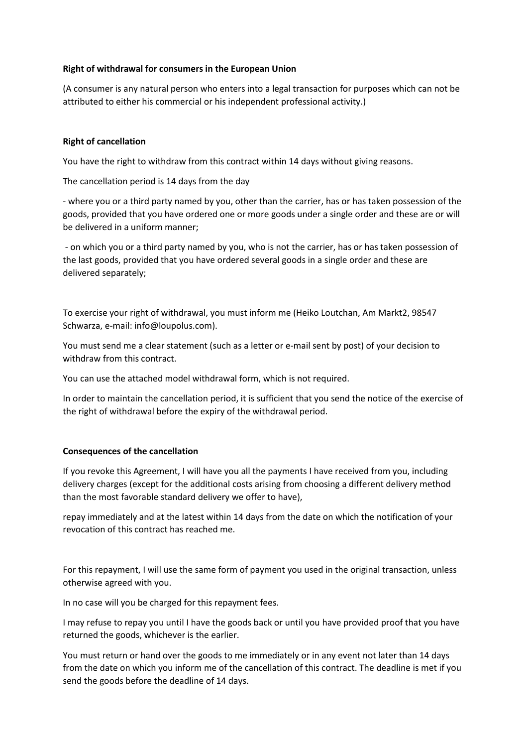# **Right of withdrawal for consumers in the European Union**

(A consumer is any natural person who enters into a legal transaction for purposes which can not be attributed to either his commercial or his independent professional activity.)

# **Right of cancellation**

You have the right to withdraw from this contract within 14 days without giving reasons.

The cancellation period is 14 days from the day

- where you or a third party named by you, other than the carrier, has or has taken possession of the goods, provided that you have ordered one or more goods under a single order and these are or will be delivered in a uniform manner;

- on which you or a third party named by you, who is not the carrier, has or has taken possession of the last goods, provided that you have ordered several goods in a single order and these are delivered separately;

To exercise your right of withdrawal, you must inform me (Heiko Loutchan, Am Markt2, 98547 Schwarza, e-mail: info@loupolus.com).

You must send me a clear statement (such as a letter or e-mail sent by post) of your decision to withdraw from this contract.

You can use the attached model withdrawal form, which is not required.

In order to maintain the cancellation period, it is sufficient that you send the notice of the exercise of the right of withdrawal before the expiry of the withdrawal period.

### **Consequences of the cancellation**

If you revoke this Agreement, I will have you all the payments I have received from you, including delivery charges (except for the additional costs arising from choosing a different delivery method than the most favorable standard delivery we offer to have),

repay immediately and at the latest within 14 days from the date on which the notification of your revocation of this contract has reached me.

For this repayment, I will use the same form of payment you used in the original transaction, unless otherwise agreed with you.

In no case will you be charged for this repayment fees.

I may refuse to repay you until I have the goods back or until you have provided proof that you have returned the goods, whichever is the earlier.

You must return or hand over the goods to me immediately or in any event not later than 14 days from the date on which you inform me of the cancellation of this contract. The deadline is met if you send the goods before the deadline of 14 days.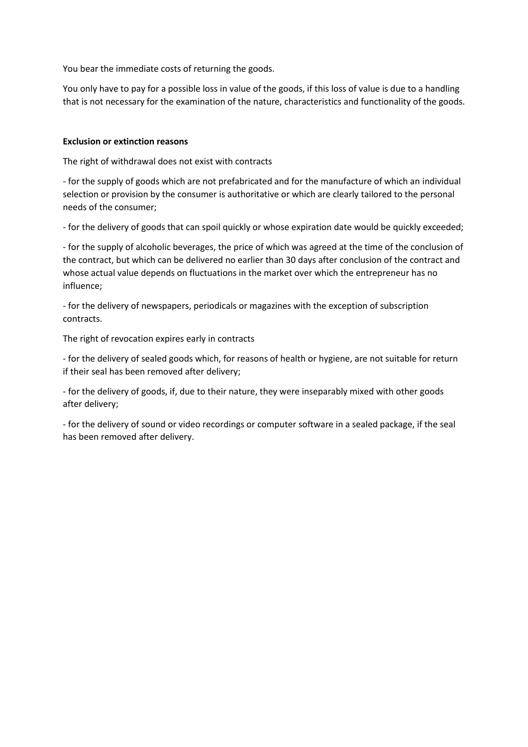You bear the immediate costs of returning the goods.

You only have to pay for a possible loss in value of the goods, if this loss of value is due to a handling that is not necessary for the examination of the nature, characteristics and functionality of the goods.

# **Exclusion or extinction reasons**

The right of withdrawal does not exist with contracts

- for the supply of goods which are not prefabricated and for the manufacture of which an individual selection or provision by the consumer is authoritative or which are clearly tailored to the personal needs of the consumer;

- for the delivery of goods that can spoil quickly or whose expiration date would be quickly exceeded;

- for the supply of alcoholic beverages, the price of which was agreed at the time of the conclusion of the contract, but which can be delivered no earlier than 30 days after conclusion of the contract and whose actual value depends on fluctuations in the market over which the entrepreneur has no influence;

- for the delivery of newspapers, periodicals or magazines with the exception of subscription contracts.

The right of revocation expires early in contracts

- for the delivery of sealed goods which, for reasons of health or hygiene, are not suitable for return if their seal has been removed after delivery;

- for the delivery of goods, if, due to their nature, they were inseparably mixed with other goods after delivery;

- for the delivery of sound or video recordings or computer software in a sealed package, if the seal has been removed after delivery.